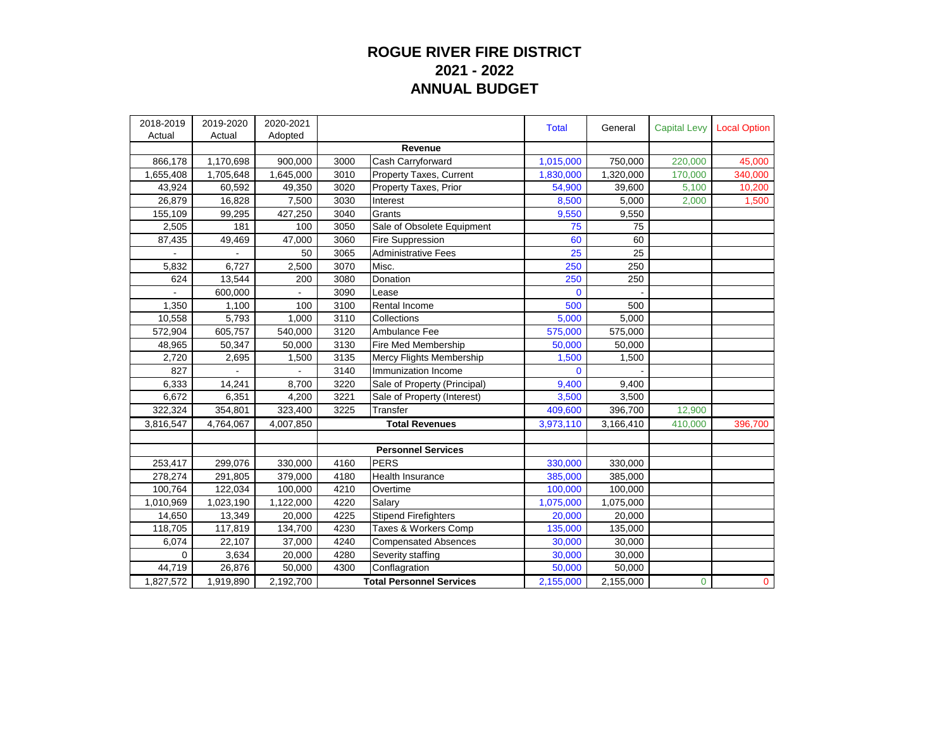## **ROGUE RIVER FIRE DISTRICT 2021 - 2022 ANNUAL BUDGET**

| 2018-2019 | 2019-2020 | 2020-2021           |                                 |                                | <b>Total</b>           | General   | <b>Capital Levy</b> | <b>Local Option</b> |
|-----------|-----------|---------------------|---------------------------------|--------------------------------|------------------------|-----------|---------------------|---------------------|
| Actual    | Actual    | Adopted             |                                 |                                |                        |           |                     |                     |
|           |           | 900,000             | 3000                            | Revenue                        |                        | 750,000   | 220,000             |                     |
| 866,178   | 1,170,698 | 1,645,000           | 3010                            | Cash Carryforward              | 1,015,000<br>1,830,000 | 1,320,000 |                     | 45,000              |
| 1,655,408 | 1,705,648 |                     |                                 | <b>Property Taxes, Current</b> |                        |           | 170,000             | 340,000             |
| 43,924    | 60,592    | 49,350              | 3020                            | Property Taxes, Prior          | 54,900                 | 39,600    | 5,100               | 10,200              |
| 26,879    | 16,828    | 7,500               | 3030                            | Interest                       | 8,500                  | 5,000     | 2,000               | 1,500               |
| 155,109   | 99,295    | 427,250             | 3040                            | Grants                         | 9,550                  | 9,550     |                     |                     |
| 2,505     | 181       | 100                 | 3050                            | Sale of Obsolete Equipment     | 75                     | 75        |                     |                     |
| 87,435    | 49,469    | $\overline{47,000}$ | 3060                            | <b>Fire Suppression</b>        | 60                     | 60        |                     |                     |
|           |           | 50                  | 3065                            | <b>Administrative Fees</b>     | 25                     | 25        |                     |                     |
| 5,832     | 6,727     | 2,500               | 3070                            | Misc.                          | 250                    | 250       |                     |                     |
| 624       | 13,544    | 200                 | 3080                            | Donation                       | 250                    | 250       |                     |                     |
|           | 600,000   |                     | 3090                            | Lease                          | $\mathbf 0$            |           |                     |                     |
| 1,350     | 1,100     | 100                 | 3100                            | Rental Income                  | 500                    | 500       |                     |                     |
| 10,558    | 5,793     | 1.000               | 3110                            | Collections                    | 5,000                  | 5,000     |                     |                     |
| 572,904   | 605,757   | 540,000             | 3120                            | Ambulance Fee                  | 575,000                | 575,000   |                     |                     |
| 48,965    | 50,347    | 50,000              | 3130                            | Fire Med Membership            | 50,000                 | 50,000    |                     |                     |
| 2,720     | 2,695     | 1,500               | 3135                            | Mercy Flights Membership       | 1,500                  | 1,500     |                     |                     |
| 827       |           |                     | 3140                            | Immunization Income            | $\Omega$               |           |                     |                     |
| 6,333     | 14,241    | 8,700               | 3220                            | Sale of Property (Principal)   | 9,400                  | 9,400     |                     |                     |
| 6,672     | 6,351     | 4,200               | 3221                            | Sale of Property (Interest)    | 3,500                  | 3,500     |                     |                     |
| 322,324   | 354,801   | 323,400             | 3225                            | Transfer                       | 409,600                | 396,700   | 12,900              |                     |
| 3,816,547 | 4,764,067 | 4,007,850           | <b>Total Revenues</b>           |                                | 3,973,110              | 3,166,410 | 410,000             | 396,700             |
|           |           |                     |                                 |                                |                        |           |                     |                     |
|           |           |                     |                                 | <b>Personnel Services</b>      |                        |           |                     |                     |
| 253,417   | 299,076   | 330,000             | 4160                            | PERS                           | 330,000                | 330,000   |                     |                     |
| 278,274   | 291,805   | 379,000             | 4180                            | <b>Health Insurance</b>        | 385,000                | 385,000   |                     |                     |
| 100,764   | 122,034   | 100,000             | 4210                            | Overtime                       | 100,000                | 100,000   |                     |                     |
| 1,010,969 | 1,023,190 | 1,122,000           | 4220                            | Salary                         | 1,075,000              | 1,075,000 |                     |                     |
| 14,650    | 13,349    | 20,000              | 4225                            | Stipend Firefighters           | 20,000                 | 20,000    |                     |                     |
| 118,705   | 117,819   | 134,700             | 4230                            | Taxes & Workers Comp           | 135,000                | 135,000   |                     |                     |
| 6,074     | 22,107    | 37,000              | 4240                            | <b>Compensated Absences</b>    | 30,000                 | 30,000    |                     |                     |
| 0         | 3,634     | 20,000              | 4280                            | Severity staffing              | 30,000                 | 30,000    |                     |                     |
| 44,719    | 26,876    | 50,000              | 4300                            | Conflagration                  | 50,000                 | 50,000    |                     |                     |
| 1,827,572 | 1,919,890 | 2,192,700           | <b>Total Personnel Services</b> |                                | 2,155,000              | 2,155,000 | $\mathbf 0$         | $\mathbf{0}$        |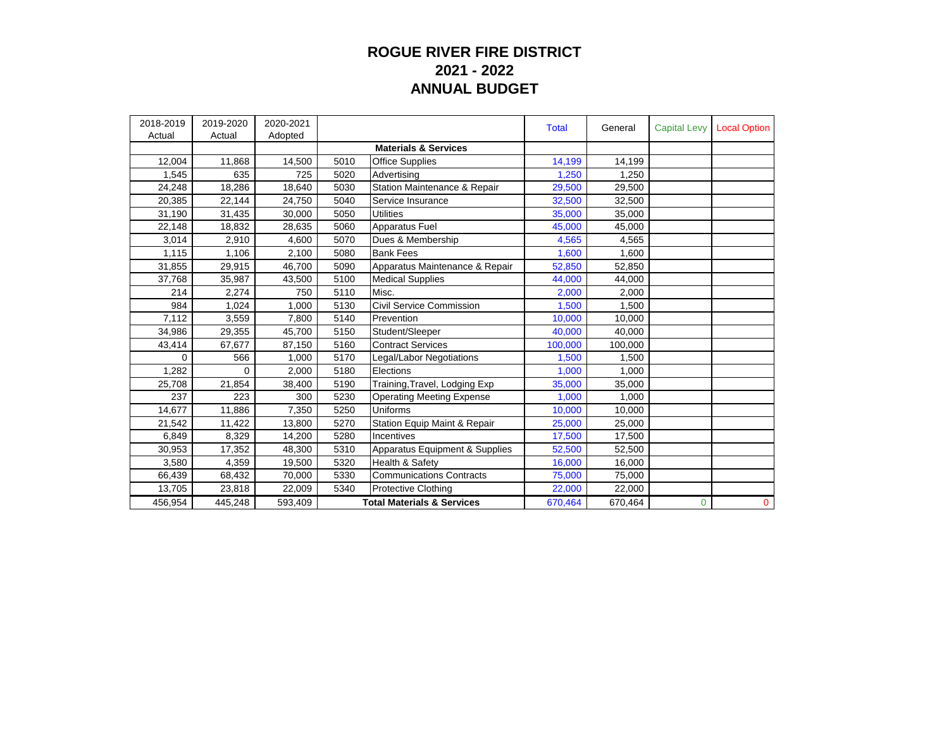## **ROGUE RIVER FIRE DISTRICT 2021 - 2022 ANNUAL BUDGET**

| 2018-2019<br>Actual | 2019-2020<br>Actual | 2020-2021<br>Adopted |                                       |                                  | <b>Total</b> | General | <b>Capital Levy</b> | <b>Local Option</b> |
|---------------------|---------------------|----------------------|---------------------------------------|----------------------------------|--------------|---------|---------------------|---------------------|
|                     |                     |                      |                                       | <b>Materials &amp; Services</b>  |              |         |                     |                     |
| 12,004              | 11,868              | 14,500               | 5010                                  | <b>Office Supplies</b>           | 14,199       | 14,199  |                     |                     |
| 1,545               | 635                 | 725                  | 5020                                  | Advertising                      | 1,250        | 1,250   |                     |                     |
| 24,248              | 18,286              | 18,640               | 5030                                  | Station Maintenance & Repair     | 29,500       | 29,500  |                     |                     |
| 20,385              | 22,144              | 24,750               | 5040                                  | Service Insurance                | 32,500       | 32,500  |                     |                     |
| 31,190              | 31,435              | 30,000               | 5050                                  | <b>Utilities</b>                 | 35,000       | 35,000  |                     |                     |
| 22,148              | 18,832              | 28,635               | 5060                                  | <b>Apparatus Fuel</b>            | 45,000       | 45,000  |                     |                     |
| 3,014               | 2,910               | 4,600                | 5070                                  | Dues & Membership                | 4,565        | 4,565   |                     |                     |
| 1.115               | 1.106               | 2.100                | 5080                                  | <b>Bank Fees</b>                 | 1,600        | 1.600   |                     |                     |
| 31,855              | 29,915              | 46,700               | 5090                                  | Apparatus Maintenance & Repair   | 52,850       | 52,850  |                     |                     |
| 37,768              | 35,987              | 43,500               | 5100                                  | <b>Medical Supplies</b>          | 44,000       | 44,000  |                     |                     |
| 214                 | 2.274               | 750                  | 5110                                  | Misc.                            | 2,000        | 2,000   |                     |                     |
| 984                 | 1,024               | 1.000                | 5130                                  | Civil Service Commission         | 1,500        | 1,500   |                     |                     |
| 7,112               | 3,559               | 7,800                | 5140                                  | Prevention                       | 10,000       | 10,000  |                     |                     |
| 34,986              | 29,355              | 45,700               | 5150                                  | Student/Sleeper                  | 40,000       | 40.000  |                     |                     |
| 43,414              | 67,677              | 87,150               | 5160                                  | <b>Contract Services</b>         | 100,000      | 100,000 |                     |                     |
| 0                   | 566                 | 1.000                | 5170                                  | Legal/Labor Negotiations         | 1,500        | 1,500   |                     |                     |
| 1,282               | $\Omega$            | 2,000                | 5180                                  | Elections                        | 1,000        | 1,000   |                     |                     |
| 25,708              | 21,854              | 38,400               | 5190                                  | Training, Travel, Lodging Exp    | 35,000       | 35,000  |                     |                     |
| 237                 | 223                 | 300                  | 5230                                  | <b>Operating Meeting Expense</b> | 1,000        | 1,000   |                     |                     |
| 14,677              | 11,886              | 7,350                | 5250                                  | <b>Uniforms</b>                  | 10,000       | 10,000  |                     |                     |
| 21,542              | 11,422              | 13,800               | 5270                                  | Station Equip Maint & Repair     | 25,000       | 25,000  |                     |                     |
| 6.849               | 8.329               | 14.200               | 5280                                  | Incentives                       | 17,500       | 17,500  |                     |                     |
| 30,953              | 17,352              | 48,300               | 5310                                  | Apparatus Equipment & Supplies   | 52,500       | 52,500  |                     |                     |
| 3,580               | 4.359               | 19,500               | 5320                                  | Health & Safety                  | 16,000       | 16,000  |                     |                     |
| 66,439              | 68,432              | 70,000               | 5330                                  | <b>Communications Contracts</b>  | 75,000       | 75,000  |                     |                     |
| 13,705              | 23,818              | 22,009               | 5340                                  | <b>Protective Clothing</b>       | 22,000       | 22,000  |                     |                     |
| 456,954             | 445,248             | 593,409              | <b>Total Materials &amp; Services</b> |                                  | 670,464      | 670,464 | $\mathbf 0$         | $\mathbf 0$         |